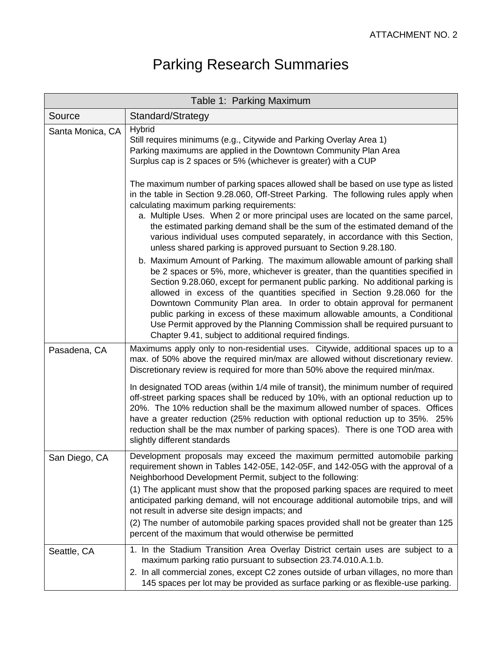## Parking Research Summaries

| Table 1: Parking Maximum |                                                                                                                                                                                                                                                                                                                                                                                                                                                                                                                                                                                                                                                                                              |  |
|--------------------------|----------------------------------------------------------------------------------------------------------------------------------------------------------------------------------------------------------------------------------------------------------------------------------------------------------------------------------------------------------------------------------------------------------------------------------------------------------------------------------------------------------------------------------------------------------------------------------------------------------------------------------------------------------------------------------------------|--|
| Source                   | Standard/Strategy                                                                                                                                                                                                                                                                                                                                                                                                                                                                                                                                                                                                                                                                            |  |
| Santa Monica, CA         | <b>Hybrid</b><br>Still requires minimums (e.g., Citywide and Parking Overlay Area 1)<br>Parking maximums are applied in the Downtown Community Plan Area<br>Surplus cap is 2 spaces or 5% (whichever is greater) with a CUP                                                                                                                                                                                                                                                                                                                                                                                                                                                                  |  |
|                          | The maximum number of parking spaces allowed shall be based on use type as listed<br>in the table in Section 9.28.060, Off-Street Parking. The following rules apply when<br>calculating maximum parking requirements:<br>a. Multiple Uses. When 2 or more principal uses are located on the same parcel,<br>the estimated parking demand shall be the sum of the estimated demand of the<br>various individual uses computed separately, in accordance with this Section,<br>unless shared parking is approved pursuant to Section 9.28.180.                                                                                                                                                |  |
|                          | b. Maximum Amount of Parking. The maximum allowable amount of parking shall<br>be 2 spaces or 5%, more, whichever is greater, than the quantities specified in<br>Section 9.28.060, except for permanent public parking. No additional parking is<br>allowed in excess of the quantities specified in Section 9.28.060 for the<br>Downtown Community Plan area. In order to obtain approval for permanent<br>public parking in excess of these maximum allowable amounts, a Conditional<br>Use Permit approved by the Planning Commission shall be required pursuant to<br>Chapter 9.41, subject to additional required findings.                                                            |  |
| Pasadena, CA             | Maximums apply only to non-residential uses. Citywide, additional spaces up to a<br>max. of 50% above the required min/max are allowed without discretionary review.<br>Discretionary review is required for more than 50% above the required min/max.<br>In designated TOD areas (within 1/4 mile of transit), the minimum number of required<br>off-street parking spaces shall be reduced by 10%, with an optional reduction up to<br>20%. The 10% reduction shall be the maximum allowed number of spaces. Offices<br>have a greater reduction (25% reduction with optional reduction up to 35%. 25%<br>reduction shall be the max number of parking spaces). There is one TOD area with |  |
|                          | slightly different standards                                                                                                                                                                                                                                                                                                                                                                                                                                                                                                                                                                                                                                                                 |  |
| San Diego, CA            | Development proposals may exceed the maximum permitted automobile parking<br>requirement shown in Tables 142-05E, 142-05F, and 142-05G with the approval of a<br>Neighborhood Development Permit, subject to the following:<br>(1) The applicant must show that the proposed parking spaces are required to meet<br>anticipated parking demand, will not encourage additional automobile trips, and will<br>not result in adverse site design impacts; and                                                                                                                                                                                                                                   |  |
|                          | (2) The number of automobile parking spaces provided shall not be greater than 125<br>percent of the maximum that would otherwise be permitted                                                                                                                                                                                                                                                                                                                                                                                                                                                                                                                                               |  |
| Seattle, CA              | 1. In the Stadium Transition Area Overlay District certain uses are subject to a<br>maximum parking ratio pursuant to subsection 23.74.010.A.1.b.<br>2. In all commercial zones, except C2 zones outside of urban villages, no more than<br>145 spaces per lot may be provided as surface parking or as flexible-use parking.                                                                                                                                                                                                                                                                                                                                                                |  |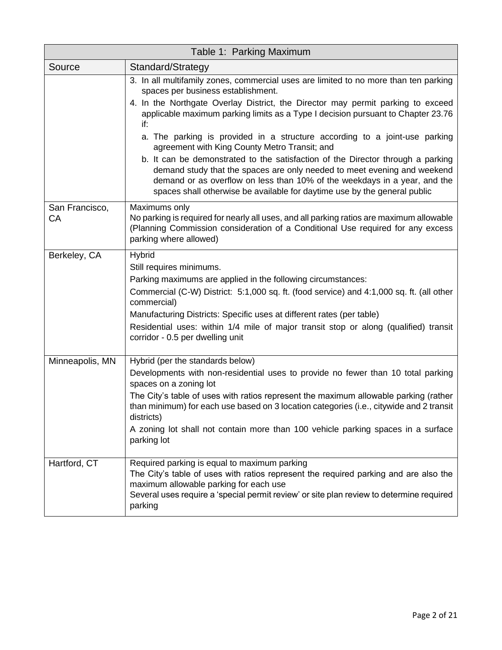| Table 1: Parking Maximum |                                                                                                                                                                                                                                                                                                                                                                                                                                                    |  |
|--------------------------|----------------------------------------------------------------------------------------------------------------------------------------------------------------------------------------------------------------------------------------------------------------------------------------------------------------------------------------------------------------------------------------------------------------------------------------------------|--|
| Source                   | Standard/Strategy                                                                                                                                                                                                                                                                                                                                                                                                                                  |  |
|                          | 3. In all multifamily zones, commercial uses are limited to no more than ten parking<br>spaces per business establishment.                                                                                                                                                                                                                                                                                                                         |  |
|                          | 4. In the Northgate Overlay District, the Director may permit parking to exceed<br>applicable maximum parking limits as a Type I decision pursuant to Chapter 23.76<br>if:                                                                                                                                                                                                                                                                         |  |
|                          | a. The parking is provided in a structure according to a joint-use parking<br>agreement with King County Metro Transit; and                                                                                                                                                                                                                                                                                                                        |  |
|                          | b. It can be demonstrated to the satisfaction of the Director through a parking<br>demand study that the spaces are only needed to meet evening and weekend<br>demand or as overflow on less than 10% of the weekdays in a year, and the<br>spaces shall otherwise be available for daytime use by the general public                                                                                                                              |  |
| San Francisco,<br>CA     | Maximums only<br>No parking is required for nearly all uses, and all parking ratios are maximum allowable<br>(Planning Commission consideration of a Conditional Use required for any excess<br>parking where allowed)                                                                                                                                                                                                                             |  |
| Berkeley, CA             | Hybrid<br>Still requires minimums.<br>Parking maximums are applied in the following circumstances:<br>Commercial (C-W) District: 5:1,000 sq. ft. (food service) and 4:1,000 sq. ft. (all other<br>commercial)<br>Manufacturing Districts: Specific uses at different rates (per table)<br>Residential uses: within 1/4 mile of major transit stop or along (qualified) transit<br>corridor - 0.5 per dwelling unit                                 |  |
| Minneapolis, MN          | Hybrid (per the standards below)<br>Developments with non-residential uses to provide no fewer than 10 total parking<br>spaces on a zoning lot<br>The City's table of uses with ratios represent the maximum allowable parking (rather<br>than minimum) for each use based on 3 location categories (i.e., citywide and 2 transit<br>districts)<br>A zoning lot shall not contain more than 100 vehicle parking spaces in a surface<br>parking lot |  |
| Hartford, CT             | Required parking is equal to maximum parking<br>The City's table of uses with ratios represent the required parking and are also the<br>maximum allowable parking for each use<br>Several uses require a 'special permit review' or site plan review to determine required<br>parking                                                                                                                                                              |  |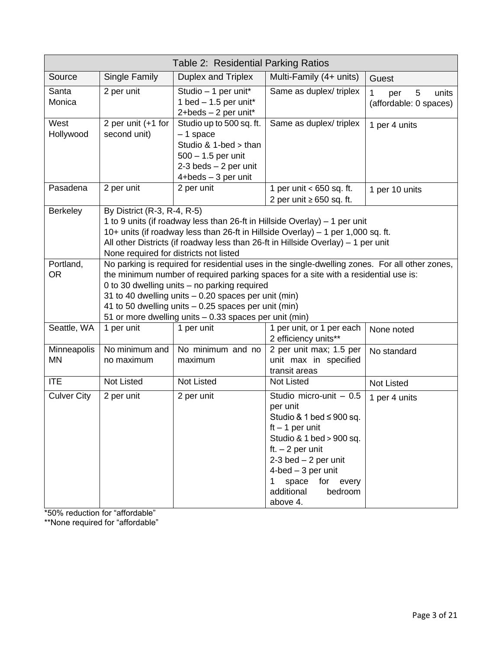| Table 2: Residential Parking Ratios |                                                                                                                                                                                                                                                                                                                                                                                                                 |                                                                                                                                            |                                                                                                                                                                                                                                                                  |                                                  |
|-------------------------------------|-----------------------------------------------------------------------------------------------------------------------------------------------------------------------------------------------------------------------------------------------------------------------------------------------------------------------------------------------------------------------------------------------------------------|--------------------------------------------------------------------------------------------------------------------------------------------|------------------------------------------------------------------------------------------------------------------------------------------------------------------------------------------------------------------------------------------------------------------|--------------------------------------------------|
| Source                              | Single Family                                                                                                                                                                                                                                                                                                                                                                                                   | Duplex and Triplex                                                                                                                         | Multi-Family (4+ units)                                                                                                                                                                                                                                          | Guest                                            |
| Santa<br>Monica                     | 2 per unit                                                                                                                                                                                                                                                                                                                                                                                                      | Studio - 1 per unit*<br>1 bed $-$ 1.5 per unit*<br>2+beds - 2 per unit*                                                                    | Same as duplex/ triplex                                                                                                                                                                                                                                          | 1<br>5<br>units<br>per<br>(affordable: 0 spaces) |
| West<br>Hollywood                   | 2 per unit (+1 for<br>second unit)                                                                                                                                                                                                                                                                                                                                                                              | Studio up to 500 sq. ft.<br>$-1$ space<br>Studio & 1-bed > than<br>$500 - 1.5$ per unit<br>$2-3$ beds $-2$ per unit<br>4+beds - 3 per unit | Same as duplex/triplex                                                                                                                                                                                                                                           | 1 per 4 units                                    |
| Pasadena                            | 2 per unit                                                                                                                                                                                                                                                                                                                                                                                                      | 2 per unit                                                                                                                                 | 1 per unit < 650 sq. ft.<br>2 per unit $\geq 650$ sq. ft.                                                                                                                                                                                                        | 1 per 10 units                                   |
| <b>Berkeley</b>                     | By District (R-3, R-4, R-5)<br>1 to 9 units (if roadway less than 26-ft in Hillside Overlay) – 1 per unit<br>10+ units (if roadway less than 26-ft in Hillside Overlay) - 1 per 1,000 sq. ft.<br>All other Districts (if roadway less than 26-ft in Hillside Overlay) - 1 per unit<br>None required for districts not listed                                                                                    |                                                                                                                                            |                                                                                                                                                                                                                                                                  |                                                  |
| Portland,<br><b>OR</b>              | No parking is required for residential uses in the single-dwelling zones. For all other zones,<br>the minimum number of required parking spaces for a site with a residential use is:<br>0 to 30 dwelling units - no parking required<br>31 to 40 dwelling units - 0.20 spaces per unit (min)<br>41 to 50 dwelling units - 0.25 spaces per unit (min)<br>51 or more dwelling units - 0.33 spaces per unit (min) |                                                                                                                                            |                                                                                                                                                                                                                                                                  |                                                  |
| Seattle, WA                         | 1 per unit                                                                                                                                                                                                                                                                                                                                                                                                      | 1 per unit                                                                                                                                 | 1 per unit, or 1 per each<br>2 efficiency units**                                                                                                                                                                                                                | None noted                                       |
| Minneapolis<br><b>MN</b>            | No minimum and<br>no maximum                                                                                                                                                                                                                                                                                                                                                                                    | No minimum and no<br>maximum                                                                                                               | 2 per unit max; 1.5 per<br>unit max in specified<br>transit areas                                                                                                                                                                                                | No standard                                      |
| <b>ITE</b>                          | <b>Not Listed</b>                                                                                                                                                                                                                                                                                                                                                                                               | <b>Not Listed</b>                                                                                                                          | <b>Not Listed</b>                                                                                                                                                                                                                                                | Not Listed                                       |
| <b>Culver City</b>                  | 2 per unit                                                                                                                                                                                                                                                                                                                                                                                                      | 2 per unit                                                                                                                                 | Studio micro-unit $-0.5$<br>per unit<br>Studio & 1 bed $\leq$ 900 sq.<br>$ft - 1$ per unit<br>Studio & 1 bed > 900 sq.<br>ft. $-2$ per unit<br>$2-3$ bed $-2$ per unit<br>$4$ -bed $-3$ per unit<br>space<br>for every<br>1<br>additional<br>bedroom<br>above 4. | 1 per 4 units                                    |

\*50% reduction for "affordable"

\*\*None required for "affordable"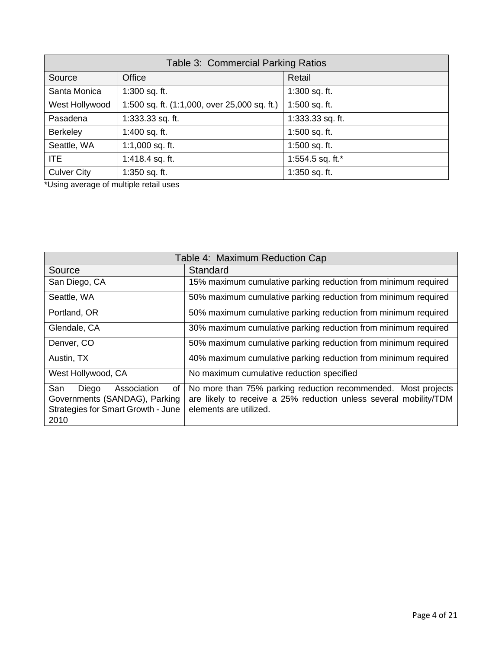| Table 3: Commercial Parking Ratios |                                                |                  |
|------------------------------------|------------------------------------------------|------------------|
| Source                             | Office                                         | Retail           |
| Santa Monica                       | 1:300 sq. ft.                                  | 1:300 sq. ft.    |
| West Hollywood                     | 1:500 sq. ft. $(1:1,000,$ over 25,000 sq. ft.) | 1:500 sq. ft.    |
| Pasadena                           | 1:333.33 sq. ft.                               | 1:333.33 sq. ft. |
| Berkeley                           | 1:400 sq. ft.                                  | 1:500 sq. ft.    |
| Seattle, WA                        | 1:1,000 sq. ft.                                | 1:500 sq. ft.    |
| <b>ITE</b>                         | 1:418.4 sq. ft.                                | 1:554.5 sq. ft.* |
| <b>Culver City</b>                 | 1:350 sq. ft.                                  | 1:350 sq. ft.    |

\*Using average of multiple retail uses

| Table 4: Maximum Reduction Cap                                                                                          |                                                                                                                                                              |  |
|-------------------------------------------------------------------------------------------------------------------------|--------------------------------------------------------------------------------------------------------------------------------------------------------------|--|
| Source                                                                                                                  | Standard                                                                                                                                                     |  |
| San Diego, CA                                                                                                           | 15% maximum cumulative parking reduction from minimum required                                                                                               |  |
| Seattle, WA                                                                                                             | 50% maximum cumulative parking reduction from minimum required                                                                                               |  |
| Portland, OR                                                                                                            | 50% maximum cumulative parking reduction from minimum required                                                                                               |  |
| Glendale, CA                                                                                                            | 30% maximum cumulative parking reduction from minimum required                                                                                               |  |
| Denver, CO                                                                                                              | 50% maximum cumulative parking reduction from minimum required                                                                                               |  |
| Austin, TX                                                                                                              | 40% maximum cumulative parking reduction from minimum required                                                                                               |  |
| West Hollywood, CA                                                                                                      | No maximum cumulative reduction specified                                                                                                                    |  |
| San<br>Association<br>οf<br>Diego<br>Governments (SANDAG), Parking<br><b>Strategies for Smart Growth - June</b><br>2010 | No more than 75% parking reduction recommended. Most projects<br>are likely to receive a 25% reduction unless several mobility/TDM<br>elements are utilized. |  |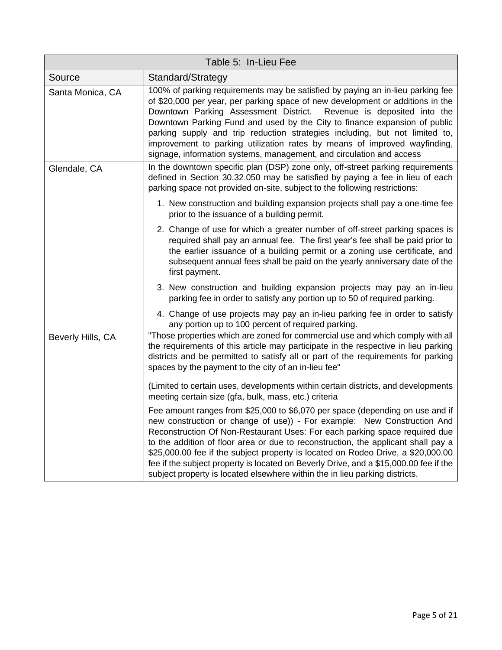| Table 5: In-Lieu Fee |                                                                                                                                                                                                                                                                                                                                                                                                                                                                                                                                                                                         |  |
|----------------------|-----------------------------------------------------------------------------------------------------------------------------------------------------------------------------------------------------------------------------------------------------------------------------------------------------------------------------------------------------------------------------------------------------------------------------------------------------------------------------------------------------------------------------------------------------------------------------------------|--|
| Source               | Standard/Strategy                                                                                                                                                                                                                                                                                                                                                                                                                                                                                                                                                                       |  |
| Santa Monica, CA     | 100% of parking requirements may be satisfied by paying an in-lieu parking fee<br>of \$20,000 per year, per parking space of new development or additions in the<br>Downtown Parking Assessment District.<br>Revenue is deposited into the<br>Downtown Parking Fund and used by the City to finance expansion of public<br>parking supply and trip reduction strategies including, but not limited to,<br>improvement to parking utilization rates by means of improved wayfinding,<br>signage, information systems, management, and circulation and access                             |  |
| Glendale, CA         | In the downtown specific plan (DSP) zone only, off-street parking requirements<br>defined in Section 30.32.050 may be satisfied by paying a fee in lieu of each<br>parking space not provided on-site, subject to the following restrictions:                                                                                                                                                                                                                                                                                                                                           |  |
|                      | 1. New construction and building expansion projects shall pay a one-time fee<br>prior to the issuance of a building permit.                                                                                                                                                                                                                                                                                                                                                                                                                                                             |  |
|                      | 2. Change of use for which a greater number of off-street parking spaces is<br>required shall pay an annual fee. The first year's fee shall be paid prior to<br>the earlier issuance of a building permit or a zoning use certificate, and<br>subsequent annual fees shall be paid on the yearly anniversary date of the<br>first payment.                                                                                                                                                                                                                                              |  |
|                      | 3. New construction and building expansion projects may pay an in-lieu<br>parking fee in order to satisfy any portion up to 50 of required parking.                                                                                                                                                                                                                                                                                                                                                                                                                                     |  |
|                      | 4. Change of use projects may pay an in-lieu parking fee in order to satisfy<br>any portion up to 100 percent of required parking.                                                                                                                                                                                                                                                                                                                                                                                                                                                      |  |
| Beverly Hills, CA    | "Those properties which are zoned for commercial use and which comply with all<br>the requirements of this article may participate in the respective in lieu parking<br>districts and be permitted to satisfy all or part of the requirements for parking<br>spaces by the payment to the city of an in-lieu fee"                                                                                                                                                                                                                                                                       |  |
|                      | (Limited to certain uses, developments within certain districts, and developments<br>meeting certain size (gfa, bulk, mass, etc.) criteria                                                                                                                                                                                                                                                                                                                                                                                                                                              |  |
|                      | Fee amount ranges from \$25,000 to \$6,070 per space (depending on use and if<br>new construction or change of use)) - For example: New Construction And<br>Reconstruction Of Non-Restaurant Uses: For each parking space required due<br>to the addition of floor area or due to reconstruction, the applicant shall pay a<br>\$25,000.00 fee if the subject property is located on Rodeo Drive, a \$20,000.00<br>fee if the subject property is located on Beverly Drive, and a \$15,000.00 fee if the<br>subject property is located elsewhere within the in lieu parking districts. |  |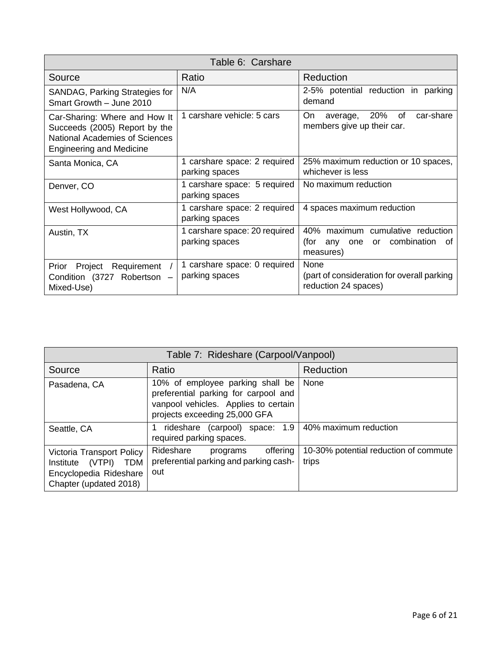| Table 6: Carshare                                                                                                                   |                                                 |                                                                                          |  |
|-------------------------------------------------------------------------------------------------------------------------------------|-------------------------------------------------|------------------------------------------------------------------------------------------|--|
| Source                                                                                                                              | Ratio                                           | Reduction                                                                                |  |
| SANDAG, Parking Strategies for<br>Smart Growth - June 2010                                                                          | N/A                                             | 2-5% potential reduction in parking<br>demand                                            |  |
| Car-Sharing: Where and How It<br>Succeeds (2005) Report by the<br>National Academies of Sciences<br><b>Engineering and Medicine</b> | 1 carshare vehicle: 5 cars                      | 20%<br>of<br>car-share<br>On<br>average,<br>members give up their car.                   |  |
| Santa Monica, CA                                                                                                                    | 1 carshare space: 2 required<br>parking spaces  | 25% maximum reduction or 10 spaces,<br>whichever is less                                 |  |
| Denver, CO                                                                                                                          | 1 carshare space: 5 required<br>parking spaces  | No maximum reduction                                                                     |  |
| West Hollywood, CA                                                                                                                  | 1 carshare space: 2 required<br>parking spaces  | 4 spaces maximum reduction                                                               |  |
| Austin, TX                                                                                                                          | 1 carshare space: 20 required<br>parking spaces | 40% maximum cumulative reduction<br>or combination<br>(for<br>any one<br>οf<br>measures) |  |
| Requirement<br>Prior<br>Project<br>Condition (3727 Robertson -<br>Mixed-Use)                                                        | 1 carshare space: 0 required<br>parking spaces  | None<br>(part of consideration for overall parking<br>reduction 24 spaces)               |  |

| Table 7: Rideshare (Carpool/Vanpool)                                                                               |                                                                                                                                                   |                                                |  |
|--------------------------------------------------------------------------------------------------------------------|---------------------------------------------------------------------------------------------------------------------------------------------------|------------------------------------------------|--|
| Source                                                                                                             | Ratio                                                                                                                                             | Reduction                                      |  |
| Pasadena, CA                                                                                                       | 10% of employee parking shall be<br>preferential parking for carpool and<br>vanpool vehicles. Applies to certain<br>projects exceeding 25,000 GFA | None                                           |  |
| Seattle, CA                                                                                                        | rideshare (carpool) space: 1.9<br>required parking spaces.                                                                                        | 40% maximum reduction                          |  |
| Victoria Transport Policy<br>(VTPI)<br><b>TDM</b><br>Institute<br>Encyclopedia Rideshare<br>Chapter (updated 2018) | Rideshare<br>offering<br>programs<br>preferential parking and parking cash-<br>out                                                                | 10-30% potential reduction of commute<br>trips |  |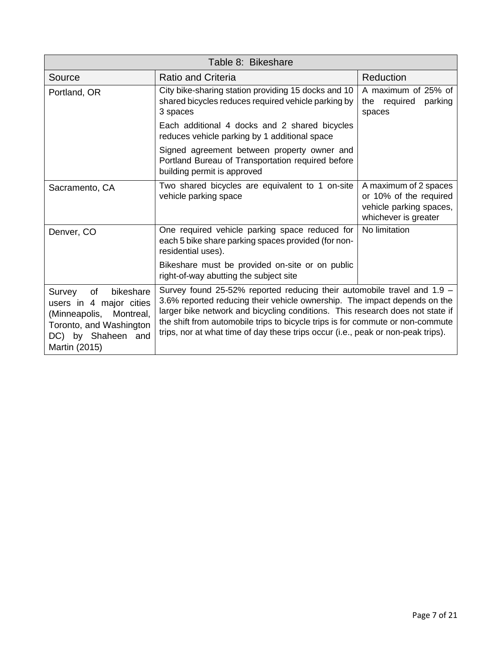| Table 8: Bikeshare                                                                                                                                |                                                                                                                                                                                                                                                                                                                                                                                                             |                                                                                                    |  |
|---------------------------------------------------------------------------------------------------------------------------------------------------|-------------------------------------------------------------------------------------------------------------------------------------------------------------------------------------------------------------------------------------------------------------------------------------------------------------------------------------------------------------------------------------------------------------|----------------------------------------------------------------------------------------------------|--|
| Source                                                                                                                                            | <b>Ratio and Criteria</b>                                                                                                                                                                                                                                                                                                                                                                                   | Reduction                                                                                          |  |
| Portland, OR                                                                                                                                      | City bike-sharing station providing 15 docks and 10<br>shared bicycles reduces required vehicle parking by<br>3 spaces                                                                                                                                                                                                                                                                                      | A maximum of 25% of<br>the required<br>parking<br>spaces                                           |  |
|                                                                                                                                                   | Each additional 4 docks and 2 shared bicycles<br>reduces vehicle parking by 1 additional space                                                                                                                                                                                                                                                                                                              |                                                                                                    |  |
|                                                                                                                                                   | Signed agreement between property owner and<br>Portland Bureau of Transportation required before<br>building permit is approved                                                                                                                                                                                                                                                                             |                                                                                                    |  |
| Sacramento, CA                                                                                                                                    | Two shared bicycles are equivalent to 1 on-site<br>vehicle parking space                                                                                                                                                                                                                                                                                                                                    | A maximum of 2 spaces<br>or 10% of the required<br>vehicle parking spaces,<br>whichever is greater |  |
| Denver, CO                                                                                                                                        | One required vehicle parking space reduced for<br>each 5 bike share parking spaces provided (for non-<br>residential uses).                                                                                                                                                                                                                                                                                 | No limitation                                                                                      |  |
|                                                                                                                                                   | Bikeshare must be provided on-site or on public<br>right-of-way abutting the subject site                                                                                                                                                                                                                                                                                                                   |                                                                                                    |  |
| of<br>Survey<br>bikeshare<br>users in 4 major cities<br>(Minneapolis, Montreal,<br>Toronto, and Washington<br>DC) by Shaheen and<br>Martin (2015) | Survey found 25-52% reported reducing their automobile travel and 1.9 -<br>3.6% reported reducing their vehicle ownership. The impact depends on the<br>larger bike network and bicycling conditions. This research does not state if<br>the shift from automobile trips to bicycle trips is for commute or non-commute<br>trips, nor at what time of day these trips occur (i.e., peak or non-peak trips). |                                                                                                    |  |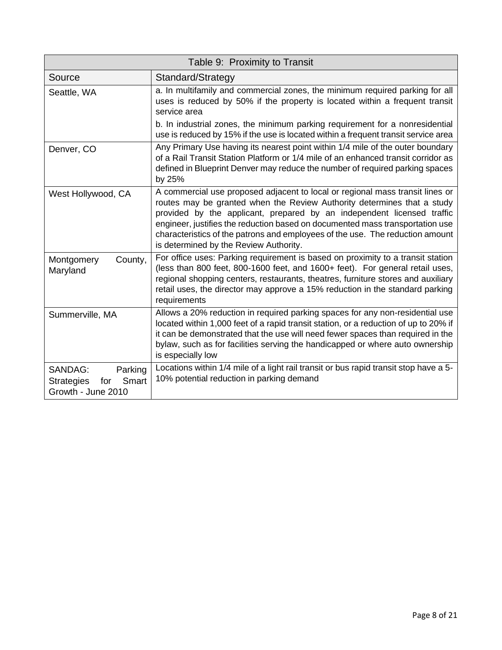| Table 9: Proximity to Transit                                                        |                                                                                                                                                                                                                                                                                                                                                                                                                                                |  |
|--------------------------------------------------------------------------------------|------------------------------------------------------------------------------------------------------------------------------------------------------------------------------------------------------------------------------------------------------------------------------------------------------------------------------------------------------------------------------------------------------------------------------------------------|--|
| Source                                                                               | Standard/Strategy                                                                                                                                                                                                                                                                                                                                                                                                                              |  |
| Seattle, WA                                                                          | a. In multifamily and commercial zones, the minimum required parking for all<br>uses is reduced by 50% if the property is located within a frequent transit<br>service area                                                                                                                                                                                                                                                                    |  |
|                                                                                      | b. In industrial zones, the minimum parking requirement for a nonresidential<br>use is reduced by 15% if the use is located within a frequent transit service area                                                                                                                                                                                                                                                                             |  |
| Denver, CO                                                                           | Any Primary Use having its nearest point within 1/4 mile of the outer boundary<br>of a Rail Transit Station Platform or 1/4 mile of an enhanced transit corridor as<br>defined in Blueprint Denver may reduce the number of required parking spaces<br>by 25%                                                                                                                                                                                  |  |
| West Hollywood, CA                                                                   | A commercial use proposed adjacent to local or regional mass transit lines or<br>routes may be granted when the Review Authority determines that a study<br>provided by the applicant, prepared by an independent licensed traffic<br>engineer, justifies the reduction based on documented mass transportation use<br>characteristics of the patrons and employees of the use. The reduction amount<br>is determined by the Review Authority. |  |
| Montgomery<br>County,<br>Maryland                                                    | For office uses: Parking requirement is based on proximity to a transit station<br>(less than 800 feet, 800-1600 feet, and 1600+ feet). For general retail uses,<br>regional shopping centers, restaurants, theatres, furniture stores and auxiliary<br>retail uses, the director may approve a 15% reduction in the standard parking<br>requirements                                                                                          |  |
| Summerville, MA                                                                      | Allows a 20% reduction in required parking spaces for any non-residential use<br>located within 1,000 feet of a rapid transit station, or a reduction of up to 20% if<br>it can be demonstrated that the use will need fewer spaces than required in the<br>bylaw, such as for facilities serving the handicapped or where auto ownership<br>is especially low                                                                                 |  |
| <b>SANDAG:</b><br>Parking<br>Smart<br><b>Strategies</b><br>for<br>Growth - June 2010 | Locations within 1/4 mile of a light rail transit or bus rapid transit stop have a 5-<br>10% potential reduction in parking demand                                                                                                                                                                                                                                                                                                             |  |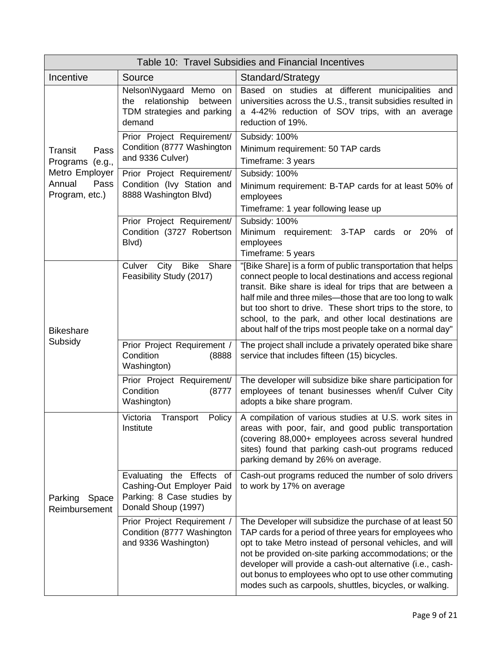| Table 10: Travel Subsidies and Financial Incentives |                                                                                                                |                                                                                                                                                                                                                                                                                                                                                                                                                                       |  |
|-----------------------------------------------------|----------------------------------------------------------------------------------------------------------------|---------------------------------------------------------------------------------------------------------------------------------------------------------------------------------------------------------------------------------------------------------------------------------------------------------------------------------------------------------------------------------------------------------------------------------------|--|
| Incentive                                           | Source                                                                                                         | Standard/Strategy                                                                                                                                                                                                                                                                                                                                                                                                                     |  |
|                                                     | Nelson\Nygaard Memo on<br>relationship<br>between<br>the<br>TDM strategies and parking<br>demand               | Based on studies at different municipalities and<br>universities across the U.S., transit subsidies resulted in<br>a 4-42% reduction of SOV trips, with an average<br>reduction of 19%.                                                                                                                                                                                                                                               |  |
| Transit<br>Pass<br>Programs (e.g.,                  | Prior Project Requirement/<br>Condition (8777 Washington<br>and 9336 Culver)                                   | Subsidy: 100%<br>Minimum requirement: 50 TAP cards<br>Timeframe: 3 years                                                                                                                                                                                                                                                                                                                                                              |  |
| Metro Employer<br>Annual<br>Pass<br>Program, etc.)  | Prior Project Requirement/<br>Condition (Ivy Station and<br>8888 Washington Blvd)                              | Subsidy: 100%<br>Minimum requirement: B-TAP cards for at least 50% of<br>employees<br>Timeframe: 1 year following lease up                                                                                                                                                                                                                                                                                                            |  |
|                                                     | Prior Project Requirement/<br>Condition (3727 Robertson<br>Blvd)                                               | Subsidy: 100%<br>Minimum requirement: 3-TAP cards or 20%<br>of<br>employees<br>Timeframe: 5 years                                                                                                                                                                                                                                                                                                                                     |  |
| <b>Bikeshare</b><br>Subsidy                         | City<br><b>Bike</b><br>Share<br>Culver<br>Feasibility Study (2017)                                             | "[Bike Share] is a form of public transportation that helps<br>connect people to local destinations and access regional<br>transit. Bike share is ideal for trips that are between a<br>half mile and three miles-those that are too long to walk<br>but too short to drive. These short trips to the store, to<br>school, to the park, and other local destinations are<br>about half of the trips most people take on a normal day" |  |
|                                                     | Prior Project Requirement /<br>Condition<br>(8888<br>Washington)                                               | The project shall include a privately operated bike share<br>service that includes fifteen (15) bicycles.                                                                                                                                                                                                                                                                                                                             |  |
|                                                     | Prior Project Requirement/<br>Condition<br>(8777)<br>Washington)                                               | The developer will subsidize bike share participation for<br>employees of tenant businesses when/if Culver City<br>adopts a bike share program.                                                                                                                                                                                                                                                                                       |  |
| Parking<br>Space<br>Reimbursement                   | Victoria<br>Policy<br>Transport<br>Institute                                                                   | A compilation of various studies at U.S. work sites in<br>areas with poor, fair, and good public transportation<br>(covering 88,000+ employees across several hundred<br>sites) found that parking cash-out programs reduced<br>parking demand by 26% on average.                                                                                                                                                                     |  |
|                                                     | Evaluating the Effects<br>of<br>Cashing-Out Employer Paid<br>Parking: 8 Case studies by<br>Donald Shoup (1997) | Cash-out programs reduced the number of solo drivers<br>to work by 17% on average                                                                                                                                                                                                                                                                                                                                                     |  |
|                                                     | Prior Project Requirement /<br>Condition (8777 Washington<br>and 9336 Washington)                              | The Developer will subsidize the purchase of at least 50<br>TAP cards for a period of three years for employees who<br>opt to take Metro instead of personal vehicles, and will<br>not be provided on-site parking accommodations; or the<br>developer will provide a cash-out alternative (i.e., cash-<br>out bonus to employees who opt to use other commuting<br>modes such as carpools, shuttles, bicycles, or walking.           |  |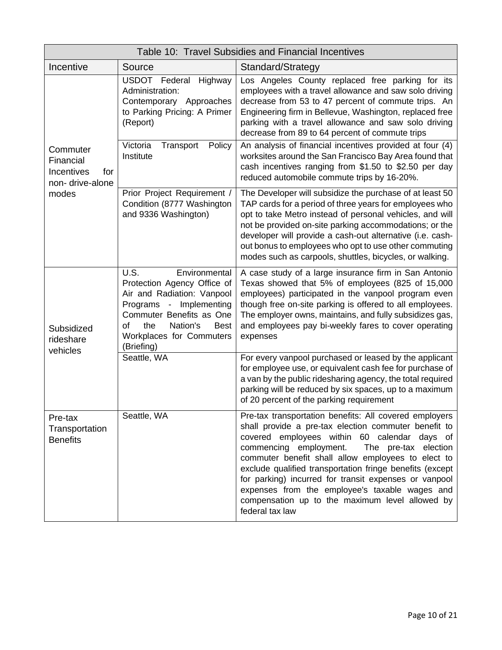| Table 10: Travel Subsidies and Financial Incentives                    |                                                                                                                                                                                                                                        |                                                                                                                                                                                                                                                                                                                                                                                                                                                                                                                     |
|------------------------------------------------------------------------|----------------------------------------------------------------------------------------------------------------------------------------------------------------------------------------------------------------------------------------|---------------------------------------------------------------------------------------------------------------------------------------------------------------------------------------------------------------------------------------------------------------------------------------------------------------------------------------------------------------------------------------------------------------------------------------------------------------------------------------------------------------------|
| Incentive                                                              | Source                                                                                                                                                                                                                                 | Standard/Strategy                                                                                                                                                                                                                                                                                                                                                                                                                                                                                                   |
| Commuter<br>Financial<br>Incentives<br>for<br>non-drive-alone<br>modes | USDOT Federal<br>Highway<br>Administration:<br>Contemporary Approaches<br>to Parking Pricing: A Primer<br>(Report)                                                                                                                     | Los Angeles County replaced free parking for its<br>employees with a travel allowance and saw solo driving<br>decrease from 53 to 47 percent of commute trips. An<br>Engineering firm in Bellevue, Washington, replaced free<br>parking with a travel allowance and saw solo driving<br>decrease from 89 to 64 percent of commute trips                                                                                                                                                                             |
|                                                                        | Victoria<br>Transport<br>Policy<br>Institute                                                                                                                                                                                           | An analysis of financial incentives provided at four (4)<br>worksites around the San Francisco Bay Area found that<br>cash incentives ranging from \$1.50 to \$2.50 per day<br>reduced automobile commute trips by 16-20%.                                                                                                                                                                                                                                                                                          |
|                                                                        | Prior Project Requirement /<br>Condition (8777 Washington<br>and 9336 Washington)                                                                                                                                                      | The Developer will subsidize the purchase of at least 50<br>TAP cards for a period of three years for employees who<br>opt to take Metro instead of personal vehicles, and will<br>not be provided on-site parking accommodations; or the<br>developer will provide a cash-out alternative (i.e. cash-<br>out bonus to employees who opt to use other commuting<br>modes such as carpools, shuttles, bicycles, or walking.                                                                                          |
| Subsidized<br>rideshare<br>vehicles                                    | U.S.<br>Environmental<br>Protection Agency Office of<br>Air and Radiation: Vanpool<br>Implementing<br>Programs<br>$\sim$<br>Commuter Benefits as One<br>οf<br>Nation's<br>the<br><b>Best</b><br>Workplaces for Commuters<br>(Briefing) | A case study of a large insurance firm in San Antonio<br>Texas showed that 5% of employees (825 of 15,000<br>employees) participated in the vanpool program even<br>though free on-site parking is offered to all employees.<br>The employer owns, maintains, and fully subsidizes gas,<br>and employees pay bi-weekly fares to cover operating<br>expenses                                                                                                                                                         |
|                                                                        | Seattle, WA                                                                                                                                                                                                                            | For every vanpool purchased or leased by the applicant<br>for employee use, or equivalent cash fee for purchase of<br>a van by the public ridesharing agency, the total required<br>parking will be reduced by six spaces, up to a maximum<br>of 20 percent of the parking requirement                                                                                                                                                                                                                              |
| Pre-tax<br>Transportation<br><b>Benefits</b>                           | Seattle, WA                                                                                                                                                                                                                            | Pre-tax transportation benefits: All covered employers<br>shall provide a pre-tax election commuter benefit to<br>covered employees within 60 calendar days of<br>commencing employment.<br>The pre-tax election<br>commuter benefit shall allow employees to elect to<br>exclude qualified transportation fringe benefits (except<br>for parking) incurred for transit expenses or vanpool<br>expenses from the employee's taxable wages and<br>compensation up to the maximum level allowed by<br>federal tax law |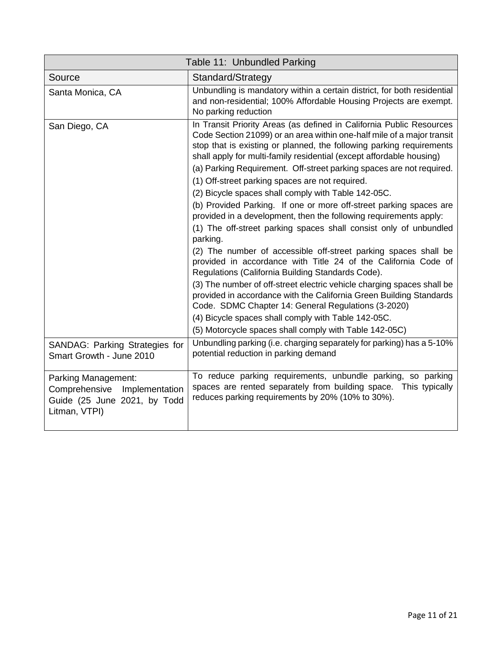|                                                                                                      | Table 11: Unbundled Parking                                                                                                                                                                                                                                                                                                                                                                                                                                                                                                                                                                                                                                                                                                                                                                                                                                                                                                                                                      |
|------------------------------------------------------------------------------------------------------|----------------------------------------------------------------------------------------------------------------------------------------------------------------------------------------------------------------------------------------------------------------------------------------------------------------------------------------------------------------------------------------------------------------------------------------------------------------------------------------------------------------------------------------------------------------------------------------------------------------------------------------------------------------------------------------------------------------------------------------------------------------------------------------------------------------------------------------------------------------------------------------------------------------------------------------------------------------------------------|
| Source                                                                                               | Standard/Strategy                                                                                                                                                                                                                                                                                                                                                                                                                                                                                                                                                                                                                                                                                                                                                                                                                                                                                                                                                                |
| Santa Monica, CA                                                                                     | Unbundling is mandatory within a certain district, for both residential<br>and non-residential; 100% Affordable Housing Projects are exempt.<br>No parking reduction                                                                                                                                                                                                                                                                                                                                                                                                                                                                                                                                                                                                                                                                                                                                                                                                             |
| San Diego, CA                                                                                        | In Transit Priority Areas (as defined in California Public Resources<br>Code Section 21099) or an area within one-half mile of a major transit<br>stop that is existing or planned, the following parking requirements<br>shall apply for multi-family residential (except affordable housing)<br>(a) Parking Requirement. Off-street parking spaces are not required.<br>(1) Off-street parking spaces are not required.<br>(2) Bicycle spaces shall comply with Table 142-05C.<br>(b) Provided Parking. If one or more off-street parking spaces are<br>provided in a development, then the following requirements apply:<br>(1) The off-street parking spaces shall consist only of unbundled<br>parking.<br>(2) The number of accessible off-street parking spaces shall be<br>provided in accordance with Title 24 of the California Code of<br>Regulations (California Building Standards Code).<br>(3) The number of off-street electric vehicle charging spaces shall be |
|                                                                                                      | provided in accordance with the California Green Building Standards<br>Code. SDMC Chapter 14: General Regulations (3-2020)<br>(4) Bicycle spaces shall comply with Table 142-05C.<br>(5) Motorcycle spaces shall comply with Table 142-05C)                                                                                                                                                                                                                                                                                                                                                                                                                                                                                                                                                                                                                                                                                                                                      |
| SANDAG: Parking Strategies for<br>Smart Growth - June 2010                                           | Unbundling parking (i.e. charging separately for parking) has a 5-10%<br>potential reduction in parking demand                                                                                                                                                                                                                                                                                                                                                                                                                                                                                                                                                                                                                                                                                                                                                                                                                                                                   |
| Parking Management:<br>Comprehensive Implementation<br>Guide (25 June 2021, by Todd<br>Litman, VTPI) | To reduce parking requirements, unbundle parking, so parking<br>spaces are rented separately from building space. This typically<br>reduces parking requirements by 20% (10% to 30%).                                                                                                                                                                                                                                                                                                                                                                                                                                                                                                                                                                                                                                                                                                                                                                                            |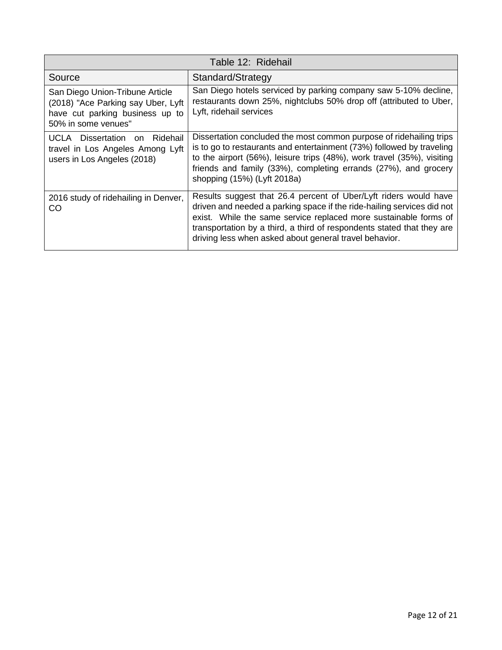| Table 12: Ridehail                                                                                                              |                                                                                                                                                                                                                                                                                                                                                    |  |  |  |
|---------------------------------------------------------------------------------------------------------------------------------|----------------------------------------------------------------------------------------------------------------------------------------------------------------------------------------------------------------------------------------------------------------------------------------------------------------------------------------------------|--|--|--|
| Source                                                                                                                          | Standard/Strategy                                                                                                                                                                                                                                                                                                                                  |  |  |  |
| San Diego Union-Tribune Article<br>(2018) "Ace Parking say Uber, Lyft<br>have cut parking business up to<br>50% in some venues" | San Diego hotels serviced by parking company saw 5-10% decline,<br>restaurants down 25%, nightclubs 50% drop off (attributed to Uber,<br>Lyft, ridehail services                                                                                                                                                                                   |  |  |  |
| UCLA Dissertation on Ridehail<br>travel in Los Angeles Among Lyft<br>users in Los Angeles (2018)                                | Dissertation concluded the most common purpose of ridehailing trips<br>is to go to restaurants and entertainment (73%) followed by traveling<br>to the airport (56%), leisure trips (48%), work travel (35%), visiting<br>friends and family (33%), completing errands (27%), and grocery<br>shopping (15%) (Lyft 2018a)                           |  |  |  |
| 2016 study of ridehailing in Denver,<br>CO                                                                                      | Results suggest that 26.4 percent of Uber/Lyft riders would have<br>driven and needed a parking space if the ride-hailing services did not<br>exist. While the same service replaced more sustainable forms of<br>transportation by a third, a third of respondents stated that they are<br>driving less when asked about general travel behavior. |  |  |  |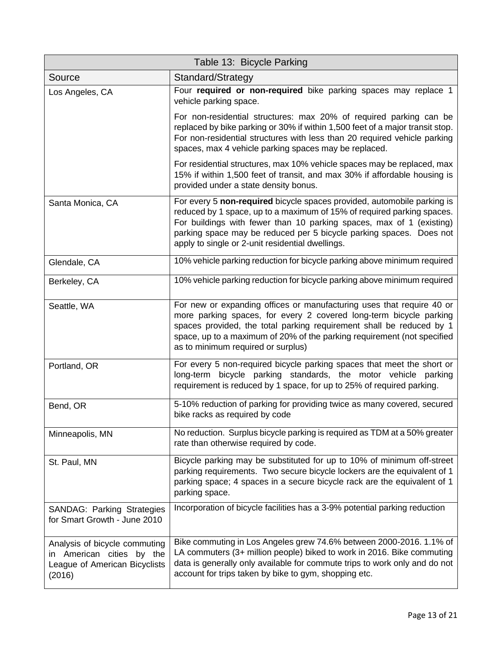| Table 13: Bicycle Parking                                                                                |                                                                                                                                                                                                                                                                                                                                                      |  |  |  |
|----------------------------------------------------------------------------------------------------------|------------------------------------------------------------------------------------------------------------------------------------------------------------------------------------------------------------------------------------------------------------------------------------------------------------------------------------------------------|--|--|--|
| Source                                                                                                   | Standard/Strategy                                                                                                                                                                                                                                                                                                                                    |  |  |  |
| Los Angeles, CA                                                                                          | Four required or non-required bike parking spaces may replace 1<br>vehicle parking space.                                                                                                                                                                                                                                                            |  |  |  |
|                                                                                                          | For non-residential structures: max 20% of required parking can be<br>replaced by bike parking or 30% if within 1,500 feet of a major transit stop.<br>For non-residential structures with less than 20 required vehicle parking<br>spaces, max 4 vehicle parking spaces may be replaced.                                                            |  |  |  |
|                                                                                                          | For residential structures, max 10% vehicle spaces may be replaced, max<br>15% if within 1,500 feet of transit, and max 30% if affordable housing is<br>provided under a state density bonus.                                                                                                                                                        |  |  |  |
| Santa Monica, CA                                                                                         | For every 5 non-required bicycle spaces provided, automobile parking is<br>reduced by 1 space, up to a maximum of 15% of required parking spaces.<br>For buildings with fewer than 10 parking spaces, max of 1 (existing)<br>parking space may be reduced per 5 bicycle parking spaces. Does not<br>apply to single or 2-unit residential dwellings. |  |  |  |
| Glendale, CA                                                                                             | 10% vehicle parking reduction for bicycle parking above minimum required                                                                                                                                                                                                                                                                             |  |  |  |
| Berkeley, CA                                                                                             | 10% vehicle parking reduction for bicycle parking above minimum required                                                                                                                                                                                                                                                                             |  |  |  |
| Seattle, WA                                                                                              | For new or expanding offices or manufacturing uses that require 40 or<br>more parking spaces, for every 2 covered long-term bicycle parking<br>spaces provided, the total parking requirement shall be reduced by 1<br>space, up to a maximum of 20% of the parking requirement (not specified<br>as to minimum required or surplus)                 |  |  |  |
| Portland, OR                                                                                             | For every 5 non-required bicycle parking spaces that meet the short or<br>long-term bicycle parking standards, the motor vehicle parking<br>requirement is reduced by 1 space, for up to 25% of required parking.                                                                                                                                    |  |  |  |
| Bend, OR                                                                                                 | 5-10% reduction of parking for providing twice as many covered, secured<br>bike racks as required by code                                                                                                                                                                                                                                            |  |  |  |
| Minneapolis, MN                                                                                          | No reduction. Surplus bicycle parking is required as TDM at a 50% greater<br>rate than otherwise required by code.                                                                                                                                                                                                                                   |  |  |  |
| St. Paul, MN                                                                                             | Bicycle parking may be substituted for up to 10% of minimum off-street<br>parking requirements. Two secure bicycle lockers are the equivalent of 1<br>parking space; 4 spaces in a secure bicycle rack are the equivalent of 1<br>parking space.                                                                                                     |  |  |  |
| <b>SANDAG: Parking Strategies</b><br>for Smart Growth - June 2010                                        | Incorporation of bicycle facilities has a 3-9% potential parking reduction                                                                                                                                                                                                                                                                           |  |  |  |
| Analysis of bicycle commuting<br>in American cities<br>by the<br>League of American Bicyclists<br>(2016) | Bike commuting in Los Angeles grew 74.6% between 2000-2016. 1.1% of<br>LA commuters (3+ million people) biked to work in 2016. Bike commuting<br>data is generally only available for commute trips to work only and do not<br>account for trips taken by bike to gym, shopping etc.                                                                 |  |  |  |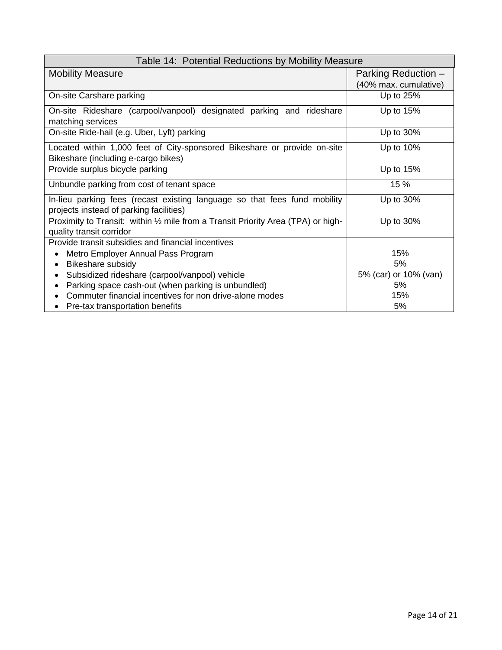| Table 14: Potential Reductions by Mobility Measure                                     |                       |  |  |  |
|----------------------------------------------------------------------------------------|-----------------------|--|--|--|
| <b>Mobility Measure</b>                                                                | Parking Reduction -   |  |  |  |
|                                                                                        | (40% max. cumulative) |  |  |  |
| On-site Carshare parking                                                               | Up to 25%             |  |  |  |
| On-site Rideshare (carpool/vanpool) designated parking and rideshare                   | Up to 15%             |  |  |  |
| matching services                                                                      |                       |  |  |  |
| On-site Ride-hail (e.g. Uber, Lyft) parking                                            | Up to 30%             |  |  |  |
| Located within 1,000 feet of City-sponsored Bikeshare or provide on-site               | Up to 10%             |  |  |  |
| Bikeshare (including e-cargo bikes)                                                    |                       |  |  |  |
| Provide surplus bicycle parking                                                        | Up to 15%             |  |  |  |
| 15 %<br>Unbundle parking from cost of tenant space                                     |                       |  |  |  |
| Up to 30%<br>In-lieu parking fees (recast existing language so that fees fund mobility |                       |  |  |  |
| projects instead of parking facilities)                                                |                       |  |  |  |
| Proximity to Transit: within 1/2 mile from a Transit Priority Area (TPA) or high-      | Up to 30%             |  |  |  |
| quality transit corridor                                                               |                       |  |  |  |
| Provide transit subsidies and financial incentives                                     |                       |  |  |  |
| Metro Employer Annual Pass Program                                                     | 15%                   |  |  |  |
| Bikeshare subsidy                                                                      | 5%                    |  |  |  |
| Subsidized rideshare (carpool/vanpool) vehicle                                         | 5% (car) or 10% (van) |  |  |  |
| Parking space cash-out (when parking is unbundled)                                     | 5%                    |  |  |  |
| Commuter financial incentives for non drive-alone modes                                | 15%                   |  |  |  |
| Pre-tax transportation benefits                                                        | 5%                    |  |  |  |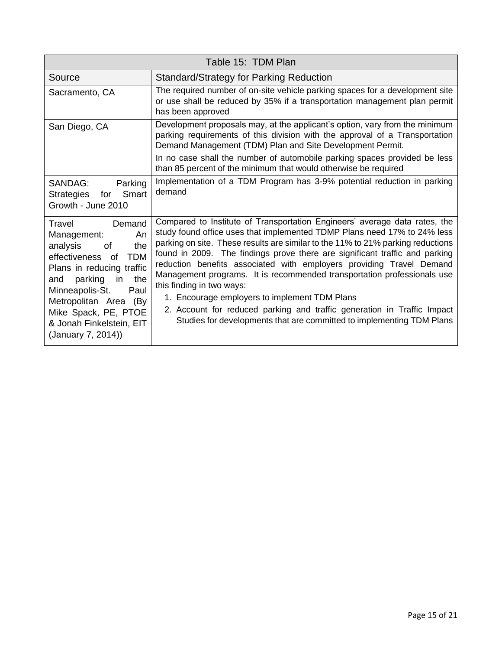| Table 15: TDM Plan                                                                                                                                                                                                                                                                              |                                                                                                                                                                                                                                                                                                                                                                                                                                                                                                                                                                                                                                                                                                               |  |  |
|-------------------------------------------------------------------------------------------------------------------------------------------------------------------------------------------------------------------------------------------------------------------------------------------------|---------------------------------------------------------------------------------------------------------------------------------------------------------------------------------------------------------------------------------------------------------------------------------------------------------------------------------------------------------------------------------------------------------------------------------------------------------------------------------------------------------------------------------------------------------------------------------------------------------------------------------------------------------------------------------------------------------------|--|--|
| Source                                                                                                                                                                                                                                                                                          | <b>Standard/Strategy for Parking Reduction</b>                                                                                                                                                                                                                                                                                                                                                                                                                                                                                                                                                                                                                                                                |  |  |
| Sacramento, CA                                                                                                                                                                                                                                                                                  | The required number of on-site vehicle parking spaces for a development site<br>or use shall be reduced by 35% if a transportation management plan permit<br>has been approved                                                                                                                                                                                                                                                                                                                                                                                                                                                                                                                                |  |  |
| San Diego, CA                                                                                                                                                                                                                                                                                   | Development proposals may, at the applicant's option, vary from the minimum<br>parking requirements of this division with the approval of a Transportation<br>Demand Management (TDM) Plan and Site Development Permit.<br>In no case shall the number of automobile parking spaces provided be less<br>than 85 percent of the minimum that would otherwise be required                                                                                                                                                                                                                                                                                                                                       |  |  |
| SANDAG:<br>Parking<br>Smart<br>Strategies<br>for<br>Growth - June 2010                                                                                                                                                                                                                          | Implementation of a TDM Program has 3-9% potential reduction in parking<br>demand                                                                                                                                                                                                                                                                                                                                                                                                                                                                                                                                                                                                                             |  |  |
| Travel<br>Demand<br>Management:<br>An<br>analysis<br>the<br>οf<br><b>TDM</b><br>effectiveness<br>of.<br>Plans in reducing traffic<br>parking<br>the<br>and<br>in.<br>Minneapolis-St.<br>Paul<br>Metropolitan Area (By<br>Mike Spack, PE, PTOE<br>& Jonah Finkelstein, EIT<br>(January 7, 2014)) | Compared to Institute of Transportation Engineers' average data rates, the<br>study found office uses that implemented TDMP Plans need 17% to 24% less<br>parking on site. These results are similar to the 11% to 21% parking reductions<br>found in 2009. The findings prove there are significant traffic and parking<br>reduction benefits associated with employers providing Travel Demand<br>Management programs. It is recommended transportation professionals use<br>this finding in two ways:<br>1. Encourage employers to implement TDM Plans<br>2. Account for reduced parking and traffic generation in Traffic Impact<br>Studies for developments that are committed to implementing TDM Plans |  |  |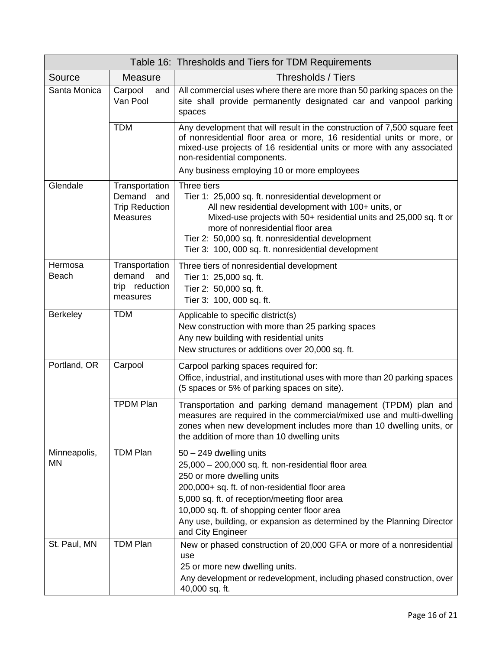|                    |                                                                             | Table 16: Thresholds and Tiers for TDM Requirements                                                                                                                                                                                                                                                                                                              |
|--------------------|-----------------------------------------------------------------------------|------------------------------------------------------------------------------------------------------------------------------------------------------------------------------------------------------------------------------------------------------------------------------------------------------------------------------------------------------------------|
| Source             | <b>Measure</b>                                                              | Thresholds / Tiers                                                                                                                                                                                                                                                                                                                                               |
| Santa Monica       | Carpool<br>and<br>Van Pool                                                  | All commercial uses where there are more than 50 parking spaces on the<br>site shall provide permanently designated car and vanpool parking<br>spaces                                                                                                                                                                                                            |
|                    | <b>TDM</b>                                                                  | Any development that will result in the construction of 7,500 square feet<br>of nonresidential floor area or more, 16 residential units or more, or<br>mixed-use projects of 16 residential units or more with any associated<br>non-residential components.                                                                                                     |
|                    |                                                                             | Any business employing 10 or more employees                                                                                                                                                                                                                                                                                                                      |
| Glendale           | Transportation<br>Demand<br>and<br><b>Trip Reduction</b><br><b>Measures</b> | Three tiers<br>Tier 1: 25,000 sq. ft. nonresidential development or<br>All new residential development with 100+ units, or<br>Mixed-use projects with 50+ residential units and 25,000 sq. ft or<br>more of nonresidential floor area<br>Tier 2: 50,000 sq. ft. nonresidential development<br>Tier 3: 100, 000 sq. ft. nonresidential development                |
| Hermosa<br>Beach   | Transportation<br>demand<br>and<br>trip reduction<br>measures               | Three tiers of nonresidential development<br>Tier 1: 25,000 sq. ft.<br>Tier 2: 50,000 sq. ft.<br>Tier 3: 100, 000 sq. ft.                                                                                                                                                                                                                                        |
| <b>Berkeley</b>    | <b>TDM</b>                                                                  | Applicable to specific district(s)<br>New construction with more than 25 parking spaces<br>Any new building with residential units<br>New structures or additions over 20,000 sq. ft.                                                                                                                                                                            |
| Portland, OR       | Carpool                                                                     | Carpool parking spaces required for:<br>Office, industrial, and institutional uses with more than 20 parking spaces<br>(5 spaces or 5% of parking spaces on site).                                                                                                                                                                                               |
|                    | <b>TPDM Plan</b>                                                            | Transportation and parking demand management (TPDM) plan and<br>measures are required in the commercial/mixed use and multi-dwelling<br>zones when new development includes more than 10 dwelling units, or<br>the addition of more than 10 dwelling units                                                                                                       |
| Minneapolis,<br>MN | <b>TDM Plan</b>                                                             | $50 - 249$ dwelling units<br>25,000 - 200,000 sq. ft. non-residential floor area<br>250 or more dwelling units<br>200,000+ sq. ft. of non-residential floor area<br>5,000 sq. ft. of reception/meeting floor area<br>10,000 sq. ft. of shopping center floor area<br>Any use, building, or expansion as determined by the Planning Director<br>and City Engineer |
| St. Paul, MN       | TDM Plan                                                                    | New or phased construction of 20,000 GFA or more of a nonresidential<br>use<br>25 or more new dwelling units.<br>Any development or redevelopment, including phased construction, over<br>40,000 sq. ft.                                                                                                                                                         |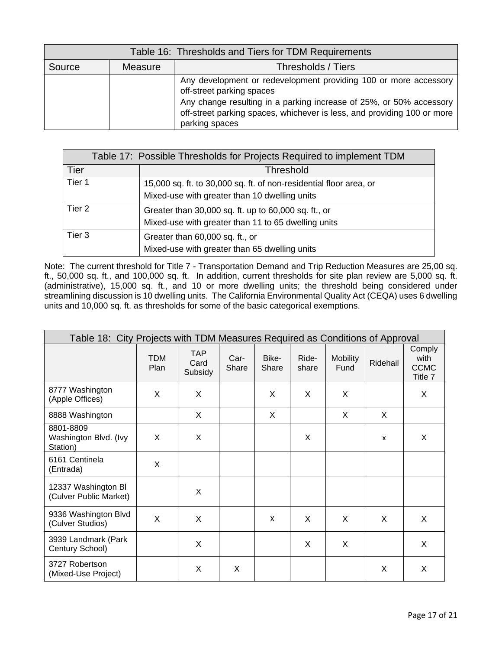| Table 16: Thresholds and Tiers for TDM Requirements |         |                                                                                                                                                                                                                                                                   |  |
|-----------------------------------------------------|---------|-------------------------------------------------------------------------------------------------------------------------------------------------------------------------------------------------------------------------------------------------------------------|--|
| Source                                              | Measure | Thresholds / Tiers                                                                                                                                                                                                                                                |  |
|                                                     |         | Any development or redevelopment providing 100 or more accessory<br>off-street parking spaces<br>Any change resulting in a parking increase of 25%, or 50% accessory<br>off-street parking spaces, whichever is less, and providing 100 or more<br>parking spaces |  |

|        | Table 17: Possible Thresholds for Projects Required to implement TDM |
|--------|----------------------------------------------------------------------|
| Tier   | <b>Threshold</b>                                                     |
| Tier 1 | 15,000 sq. ft. to 30,000 sq. ft. of non-residential floor area, or   |
|        | Mixed-use with greater than 10 dwelling units                        |
| Tier 2 | Greater than 30,000 sq. ft. up to 60,000 sq. ft., or                 |
|        | Mixed-use with greater than 11 to 65 dwelling units                  |
| Tier 3 | Greater than 60,000 sq. ft., or                                      |
|        | Mixed-use with greater than 65 dwelling units                        |

Note: The current threshold for Title 7 - Transportation Demand and Trip Reduction Measures are 25,00 sq. ft., 50,000 sq. ft., and 100,000 sq. ft. In addition, current thresholds for site plan review are 5,000 sq. ft. (administrative), 15,000 sq. ft., and 10 or more dwelling units; the threshold being considered under streamlining discussion is 10 dwelling units. The California Environmental Quality Act (CEQA) uses 6 dwelling units and 10,000 sq. ft. as thresholds for some of the basic categorical exemptions.

| Table 18: City Projects with TDM Measures Required as Conditions of Approval |                    |                               |               |                |                |                         |                           |                                          |
|------------------------------------------------------------------------------|--------------------|-------------------------------|---------------|----------------|----------------|-------------------------|---------------------------|------------------------------------------|
|                                                                              | <b>TDM</b><br>Plan | <b>TAP</b><br>Card<br>Subsidy | Car-<br>Share | Bike-<br>Share | Ride-<br>share | <b>Mobility</b><br>Fund | Ridehail                  | Comply<br>with<br><b>CCMC</b><br>Title 7 |
| 8777 Washington<br>(Apple Offices)                                           | X                  | X                             |               | X              | X              | X                       |                           | X                                        |
| 8888 Washington                                                              |                    | X                             |               | X              |                | X                       | X                         |                                          |
| 8801-8809<br>Washington Blvd. (Ivy<br>Station)                               | X                  | X                             |               |                | X              |                         | $\boldsymbol{\mathsf{x}}$ | X                                        |
| 6161 Centinela<br>(Entrada)                                                  | X                  |                               |               |                |                |                         |                           |                                          |
| 12337 Washington Bl<br>(Culver Public Market)                                |                    | X                             |               |                |                |                         |                           |                                          |
| 9336 Washington Blvd<br>(Culver Studios)                                     | $\mathsf{x}$       | X                             |               | X              | X              | X                       | X                         | X                                        |
| 3939 Landmark (Park<br>Century School)                                       |                    | X                             |               |                | X              | X                       |                           | X                                        |
| 3727 Robertson<br>(Mixed-Use Project)                                        |                    | X                             | X             |                |                |                         | X                         | X                                        |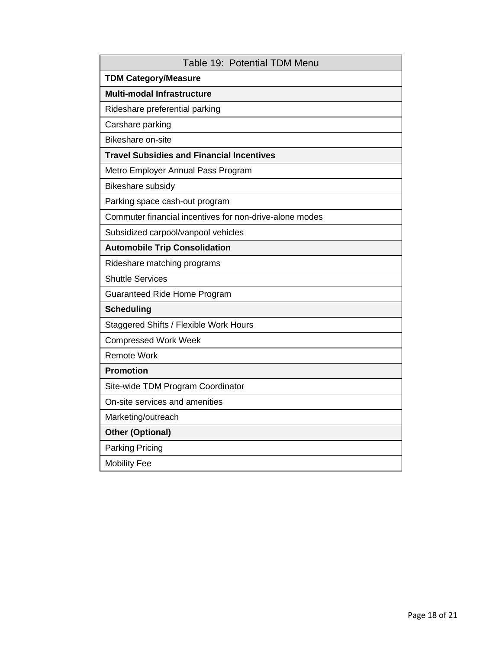| Table 19: Potential TDM Menu                            |
|---------------------------------------------------------|
| <b>TDM Category/Measure</b>                             |
| <b>Multi-modal Infrastructure</b>                       |
| Rideshare preferential parking                          |
| Carshare parking                                        |
| <b>Bikeshare on-site</b>                                |
| <b>Travel Subsidies and Financial Incentives</b>        |
| Metro Employer Annual Pass Program                      |
| Bikeshare subsidy                                       |
| Parking space cash-out program                          |
| Commuter financial incentives for non-drive-alone modes |
| Subsidized carpool/vanpool vehicles                     |
| <b>Automobile Trip Consolidation</b>                    |
| Rideshare matching programs                             |
| <b>Shuttle Services</b>                                 |
| Guaranteed Ride Home Program                            |
| <b>Scheduling</b>                                       |
| Staggered Shifts / Flexible Work Hours                  |
| <b>Compressed Work Week</b>                             |
| <b>Remote Work</b>                                      |
| <b>Promotion</b>                                        |
| Site-wide TDM Program Coordinator                       |
| On-site services and amenities                          |
| Marketing/outreach                                      |
| <b>Other (Optional)</b>                                 |
| <b>Parking Pricing</b>                                  |
| <b>Mobility Fee</b>                                     |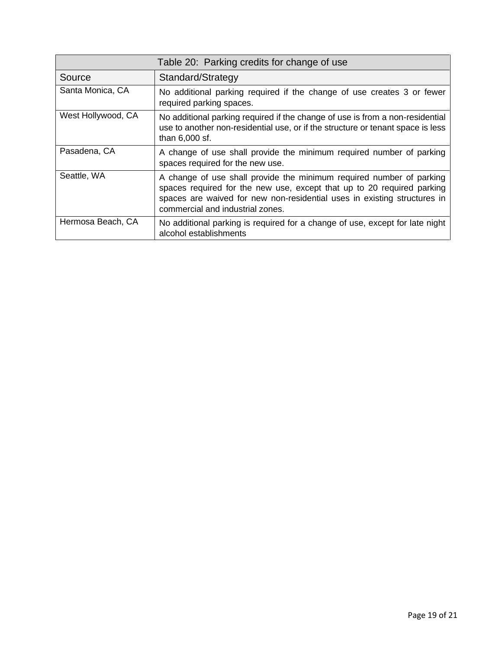|                    | Table 20: Parking credits for change of use                                                                                                                                                                                                                    |
|--------------------|----------------------------------------------------------------------------------------------------------------------------------------------------------------------------------------------------------------------------------------------------------------|
| Source             | Standard/Strategy                                                                                                                                                                                                                                              |
| Santa Monica, CA   | No additional parking required if the change of use creates 3 or fewer<br>required parking spaces.                                                                                                                                                             |
| West Hollywood, CA | No additional parking required if the change of use is from a non-residential<br>use to another non-residential use, or if the structure or tenant space is less<br>than 6,000 sf.                                                                             |
| Pasadena, CA       | A change of use shall provide the minimum required number of parking<br>spaces required for the new use.                                                                                                                                                       |
| Seattle, WA        | A change of use shall provide the minimum required number of parking<br>spaces required for the new use, except that up to 20 required parking<br>spaces are waived for new non-residential uses in existing structures in<br>commercial and industrial zones. |
| Hermosa Beach, CA  | No additional parking is required for a change of use, except for late night<br>alcohol establishments                                                                                                                                                         |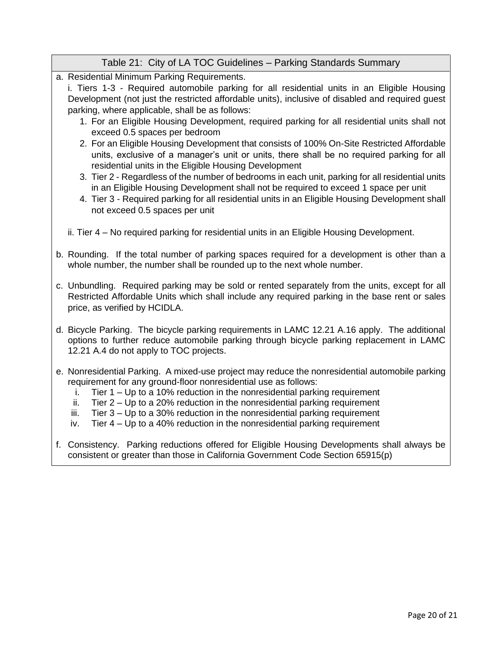## Table 21: City of LA TOC Guidelines – Parking Standards Summary

a. Residential Minimum Parking Requirements.

i. Tiers 1-3 - Required automobile parking for all residential units in an Eligible Housing Development (not just the restricted affordable units), inclusive of disabled and required guest parking, where applicable, shall be as follows:

- 1. For an Eligible Housing Development, required parking for all residential units shall not exceed 0.5 spaces per bedroom
- 2. For an Eligible Housing Development that consists of 100% On-Site Restricted Affordable units, exclusive of a manager's unit or units, there shall be no required parking for all residential units in the Eligible Housing Development
- 3. Tier 2 Regardless of the number of bedrooms in each unit, parking for all residential units in an Eligible Housing Development shall not be required to exceed 1 space per unit
- 4. Tier 3 Required parking for all residential units in an Eligible Housing Development shall not exceed 0.5 spaces per unit
- ii. Tier 4 No required parking for residential units in an Eligible Housing Development.
- b. Rounding. If the total number of parking spaces required for a development is other than a whole number, the number shall be rounded up to the next whole number.
- c. Unbundling. Required parking may be sold or rented separately from the units, except for all Restricted Affordable Units which shall include any required parking in the base rent or sales price, as verified by HCIDLA.
- d. Bicycle Parking. The bicycle parking requirements in LAMC 12.21 A.16 apply. The additional options to further reduce automobile parking through bicycle parking replacement in LAMC 12.21 A.4 do not apply to TOC projects.
- e. Nonresidential Parking. A mixed-use project may reduce the nonresidential automobile parking requirement for any ground-floor nonresidential use as follows:
	- i. Tier 1 Up to a 10% reduction in the nonresidential parking requirement
	- ii. Tier  $2 Up$  to a 20% reduction in the nonresidential parking requirement
	- iii. Tier  $3 Up$  to a 30% reduction in the nonresidential parking requirement
	- iv. Tier  $4 Up$  to a 40% reduction in the nonresidential parking requirement
- f. Consistency. Parking reductions offered for Eligible Housing Developments shall always be consistent or greater than those in California Government Code Section 65915(p)